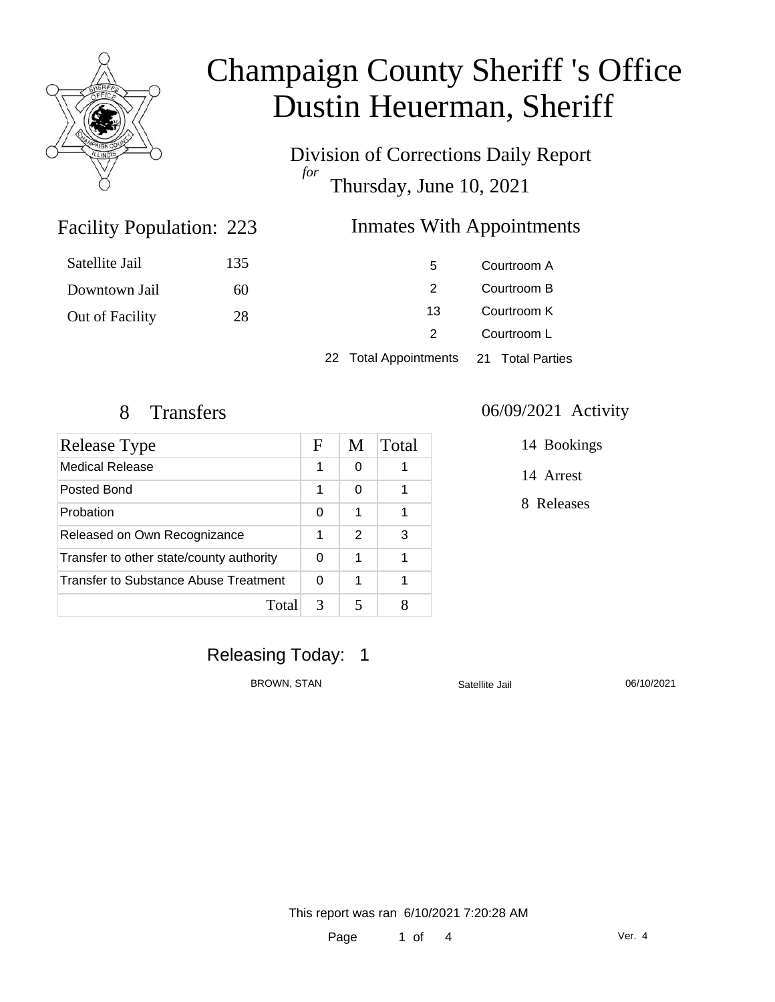

Division of Corrections Daily Report *for* Thursday, June 10, 2021

### Inmates With Appointments

| Satellite Jail  | 135 | 5                                      | Courtroom A |  |
|-----------------|-----|----------------------------------------|-------------|--|
| Downtown Jail   | 60  |                                        | Courtroom B |  |
| Out of Facility | 28  | 13                                     | Courtroom K |  |
|                 |     | 2                                      | Courtroom L |  |
|                 |     | 22 Total Appointments 21 Total Parties |             |  |

Facility Population: 223

| Release Type                             |   | M | Total |
|------------------------------------------|---|---|-------|
| <b>Medical Release</b>                   | 1 | 0 |       |
| Posted Bond                              | 1 | 0 |       |
| Probation                                | 0 | 1 |       |
| Released on Own Recognizance             |   | 2 | 3     |
| Transfer to other state/county authority |   | 1 |       |
| Transfer to Substance Abuse Treatment    |   | 1 |       |
| Total                                    | 3 | 5 |       |

#### 8 Transfers 06/09/2021 Activity

14 Bookings

14 Arrest

8 Releases

### Releasing Today: 1

BROWN, STAN Satellite Jail 36/10/2021

This report was ran 6/10/2021 7:20:28 AM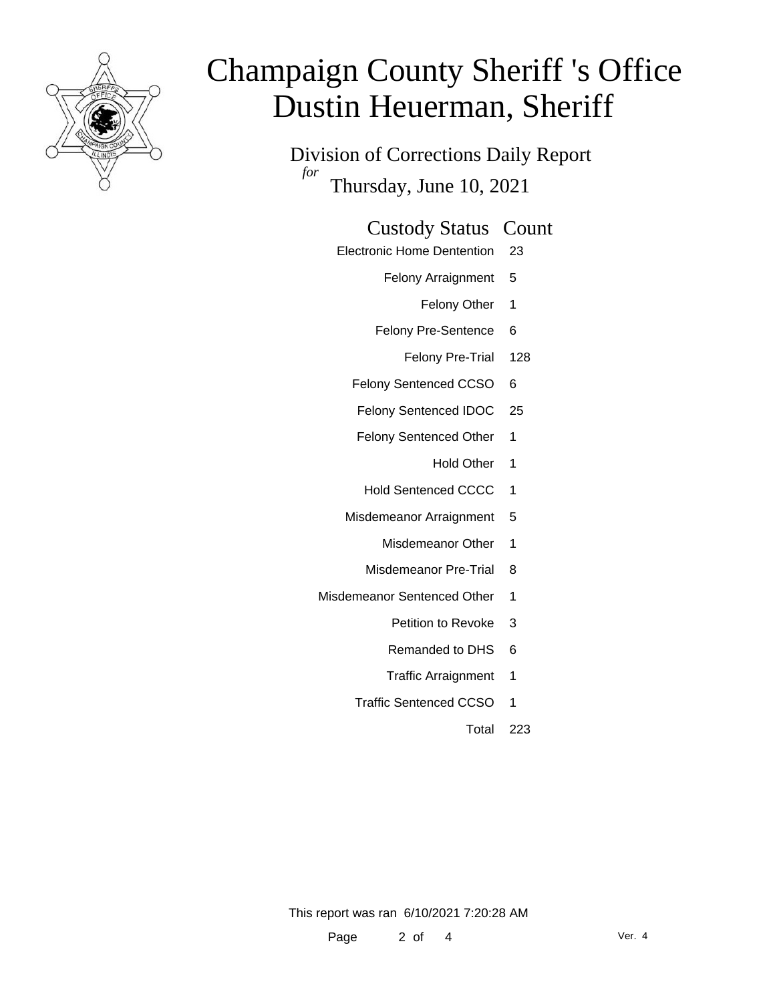

Division of Corrections Daily Report *for* Thursday, June 10, 2021

#### Custody Status Count

- Electronic Home Dentention 23
	- Felony Arraignment 5
		- Felony Other 1
	- Felony Pre-Sentence 6
		- Felony Pre-Trial 128
	- Felony Sentenced CCSO 6
	- Felony Sentenced IDOC 25
	- Felony Sentenced Other 1
		- Hold Other 1
	- Hold Sentenced CCCC 1
	- Misdemeanor Arraignment 5
		- Misdemeanor Other 1
		- Misdemeanor Pre-Trial 8
- Misdemeanor Sentenced Other 1
	- Petition to Revoke 3
	- Remanded to DHS 6
	- Traffic Arraignment 1
	- Traffic Sentenced CCSO 1
		- Total 223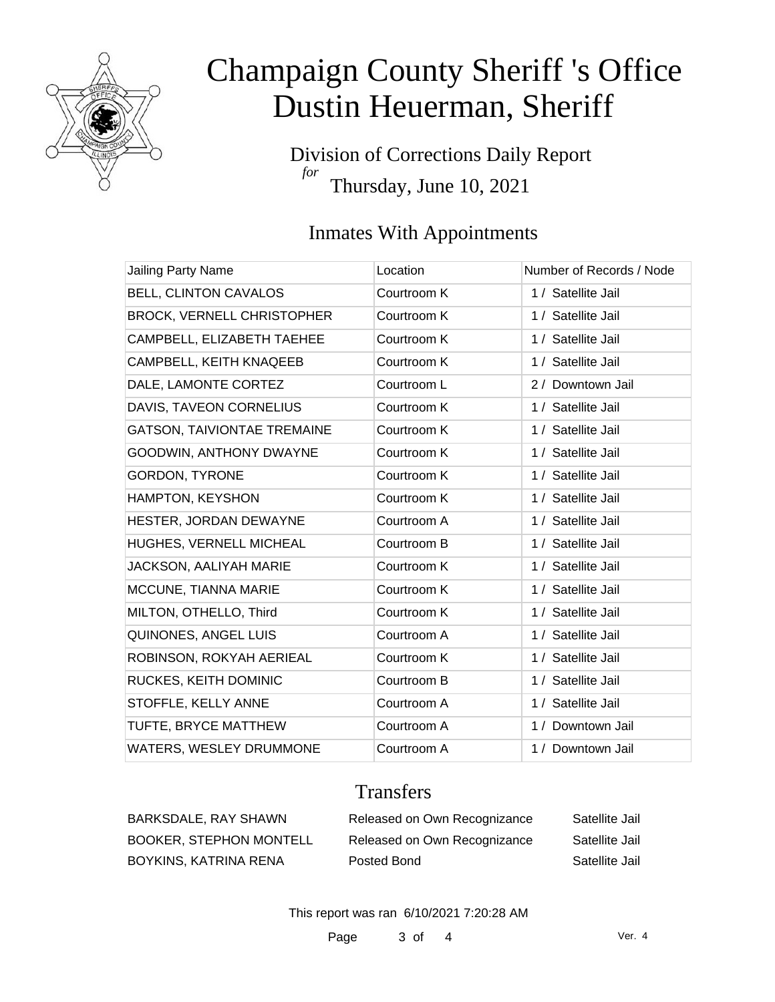

Division of Corrections Daily Report *for* Thursday, June 10, 2021

### Inmates With Appointments

| Jailing Party Name                 | Location    | Number of Records / Node |
|------------------------------------|-------------|--------------------------|
| BELL, CLINTON CAVALOS              | Courtroom K | 1 / Satellite Jail       |
| <b>BROCK, VERNELL CHRISTOPHER</b>  | Courtroom K | 1 / Satellite Jail       |
| CAMPBELL, ELIZABETH TAEHEE         | Courtroom K | 1 / Satellite Jail       |
| CAMPBELL, KEITH KNAQEEB            | Courtroom K | 1 / Satellite Jail       |
| DALE, LAMONTE CORTEZ               | Courtroom L | 2 / Downtown Jail        |
| DAVIS, TAVEON CORNELIUS            | Courtroom K | 1 / Satellite Jail       |
| <b>GATSON, TAIVIONTAE TREMAINE</b> | Courtroom K | 1 / Satellite Jail       |
| GOODWIN, ANTHONY DWAYNE            | Courtroom K | 1 / Satellite Jail       |
| <b>GORDON, TYRONE</b>              | Courtroom K | 1 / Satellite Jail       |
| HAMPTON, KEYSHON                   | Courtroom K | 1 / Satellite Jail       |
| HESTER, JORDAN DEWAYNE             | Courtroom A | 1 / Satellite Jail       |
| HUGHES, VERNELL MICHEAL            | Courtroom B | 1 / Satellite Jail       |
| JACKSON, AALIYAH MARIE             | Courtroom K | 1 / Satellite Jail       |
| MCCUNE, TIANNA MARIE               | Courtroom K | 1 / Satellite Jail       |
| MILTON, OTHELLO, Third             | Courtroom K | 1 / Satellite Jail       |
| QUINONES, ANGEL LUIS               | Courtroom A | 1 / Satellite Jail       |
| ROBINSON, ROKYAH AERIEAL           | Courtroom K | 1 / Satellite Jail       |
| RUCKES, KEITH DOMINIC              | Courtroom B | 1 / Satellite Jail       |
| STOFFLE, KELLY ANNE                | Courtroom A | 1 / Satellite Jail       |
| TUFTE, BRYCE MATTHEW               | Courtroom A | 1 / Downtown Jail        |
| WATERS, WESLEY DRUMMONE            | Courtroom A | 1 / Downtown Jail        |

### **Transfers**

| BARKSDALE, RAY SHAWN           | Released on Own Recognizance | Satellite Jail |
|--------------------------------|------------------------------|----------------|
| <b>BOOKER, STEPHON MONTELL</b> | Released on Own Recognizance | Satellite Jail |
| BOYKINS, KATRINA RENA          | Posted Bond                  | Satellite Jail |

This report was ran 6/10/2021 7:20:28 AM